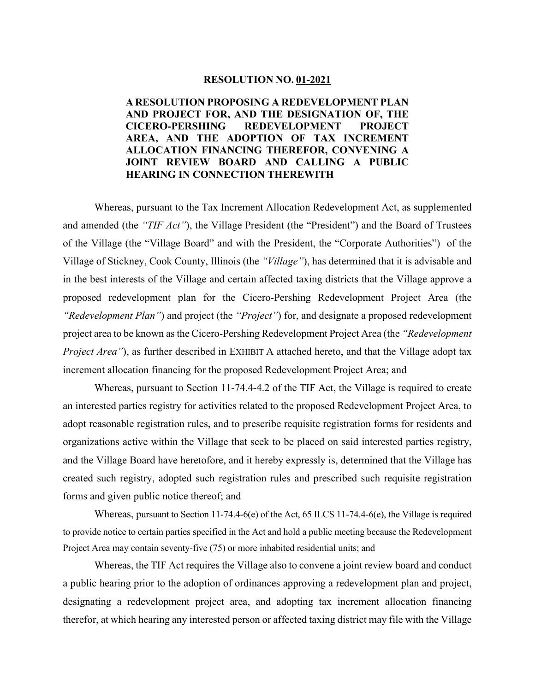#### **RESOLUTION NO. 01-2021**

## **A RESOLUTION PROPOSING A REDEVELOPMENT PLAN AND PROJECT FOR, AND THE DESIGNATION OF, THE CICERO-PERSHING REDEVELOPMENT PROJECT AREA, AND THE ADOPTION OF TAX INCREMENT ALLOCATION FINANCING THEREFOR, CONVENING A JOINT REVIEW BOARD AND CALLING A PUBLIC HEARING IN CONNECTION THEREWITH**

Whereas, pursuant to the Tax Increment Allocation Redevelopment Act, as supplemented and amended (the *"TIF Act"*), the Village President (the "President") and the Board of Trustees of the Village (the "Village Board" and with the President, the "Corporate Authorities") of the Village of Stickney, Cook County, Illinois (the *"Village"*), has determined that it is advisable and in the best interests of the Village and certain affected taxing districts that the Village approve a proposed redevelopment plan for the Cicero-Pershing Redevelopment Project Area (the *"Redevelopment Plan"*) and project (the *"Project"*) for, and designate a proposed redevelopment project area to be known as the Cicero-Pershing Redevelopment Project Area (the *"Redevelopment Project Area"*), as further described in EXHIBIT A attached hereto, and that the Village adopt tax increment allocation financing for the proposed Redevelopment Project Area; and

Whereas, pursuant to Section 11-74.4-4.2 of the TIF Act, the Village is required to create an interested parties registry for activities related to the proposed Redevelopment Project Area, to adopt reasonable registration rules, and to prescribe requisite registration forms for residents and organizations active within the Village that seek to be placed on said interested parties registry, and the Village Board have heretofore, and it hereby expressly is, determined that the Village has created such registry, adopted such registration rules and prescribed such requisite registration forms and given public notice thereof; and

Whereas, pursuant to Section 11-74.4-6(e) of the Act, 65 ILCS 11-74.4-6(e), the Village is required to provide notice to certain parties specified in the Act and hold a public meeting because the Redevelopment Project Area may contain seventy-five (75) or more inhabited residential units; and

Whereas, the TIF Act requires the Village also to convene a joint review board and conduct a public hearing prior to the adoption of ordinances approving a redevelopment plan and project, designating a redevelopment project area, and adopting tax increment allocation financing therefor, at which hearing any interested person or affected taxing district may file with the Village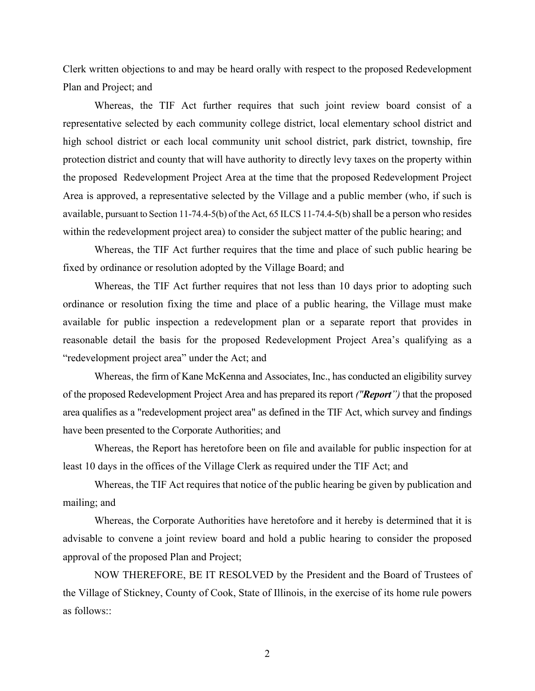Clerk written objections to and may be heard orally with respect to the proposed Redevelopment Plan and Project; and

Whereas, the TIF Act further requires that such joint review board consist of a representative selected by each community college district, local elementary school district and high school district or each local community unit school district, park district, township, fire protection district and county that will have authority to directly levy taxes on the property within the proposed Redevelopment Project Area at the time that the proposed Redevelopment Project Area is approved, a representative selected by the Village and a public member (who, if such is available, pursuant to Section 11-74.4-5(b) of the Act, 65 ILCS 11-74.4-5(b) shall be a person who resides within the redevelopment project area) to consider the subject matter of the public hearing; and

Whereas, the TIF Act further requires that the time and place of such public hearing be fixed by ordinance or resolution adopted by the Village Board; and

Whereas, the TIF Act further requires that not less than 10 days prior to adopting such ordinance or resolution fixing the time and place of a public hearing, the Village must make available for public inspection a redevelopment plan or a separate report that provides in reasonable detail the basis for the proposed Redevelopment Project Area's qualifying as a "redevelopment project area" under the Act; and

Whereas, the firm of Kane McKenna and Associates, Inc., has conducted an eligibility survey of the proposed Redevelopment Project Area and has prepared its report *("Report")* that the proposed area qualifies as a "redevelopment project area" as defined in the TIF Act, which survey and findings have been presented to the Corporate Authorities; and

Whereas, the Report has heretofore been on file and available for public inspection for at least 10 days in the offices of the Village Clerk as required under the TIF Act; and

Whereas, the TIF Act requires that notice of the public hearing be given by publication and mailing; and

Whereas, the Corporate Authorities have heretofore and it hereby is determined that it is advisable to convene a joint review board and hold a public hearing to consider the proposed approval of the proposed Plan and Project;

NOW THEREFORE, BE IT RESOLVED by the President and the Board of Trustees of the Village of Stickney, County of Cook, State of Illinois, in the exercise of its home rule powers as follows::

2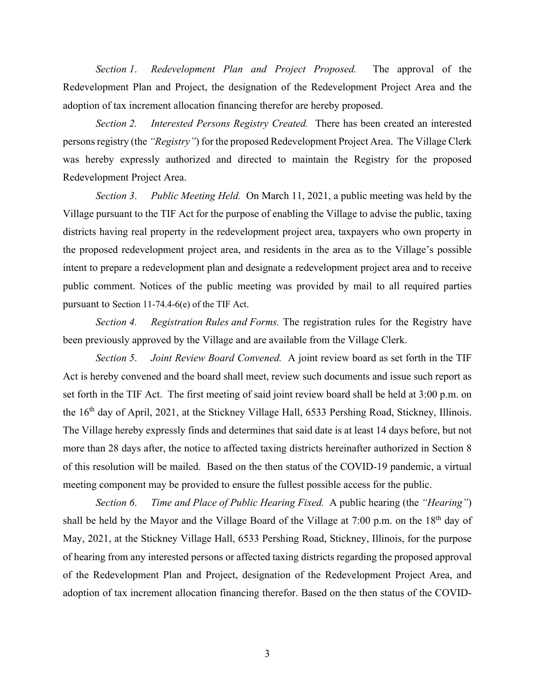*Section 1*. *Redevelopment Plan and Project Proposed.* The approval of the Redevelopment Plan and Project, the designation of the Redevelopment Project Area and the adoption of tax increment allocation financing therefor are hereby proposed.

*Section 2. Interested Persons Registry Created.* There has been created an interested persons registry (the *"Registry"*) for the proposed Redevelopment Project Area. The Village Clerk was hereby expressly authorized and directed to maintain the Registry for the proposed Redevelopment Project Area.

*Section 3*. *Public Meeting Held.* On March 11, 2021, a public meeting was held by the Village pursuant to the TIF Act for the purpose of enabling the Village to advise the public, taxing districts having real property in the redevelopment project area, taxpayers who own property in the proposed redevelopment project area, and residents in the area as to the Village's possible intent to prepare a redevelopment plan and designate a redevelopment project area and to receive public comment. Notices of the public meeting was provided by mail to all required parties pursuant to Section 11-74.4-6(e) of the TIF Act.

*Section 4. Registration Rules and Forms.* The registration rules for the Registry have been previously approved by the Village and are available from the Village Clerk.

*Section 5*. *Joint Review Board Convened.* A joint review board as set forth in the TIF Act is hereby convened and the board shall meet, review such documents and issue such report as set forth in the TIF Act. The first meeting of said joint review board shall be held at 3:00 p.m. on the 16<sup>th</sup> day of April, 2021, at the Stickney Village Hall, 6533 Pershing Road, Stickney, Illinois. The Village hereby expressly finds and determines that said date is at least 14 days before, but not more than 28 days after, the notice to affected taxing districts hereinafter authorized in Section 8 of this resolution will be mailed. Based on the then status of the COVID-19 pandemic, a virtual meeting component may be provided to ensure the fullest possible access for the public.

*Section 6*. *Time and Place of Public Hearing Fixed.* A public hearing (the *"Hearing"*) shall be held by the Mayor and the Village Board of the Village at 7:00 p.m. on the  $18<sup>th</sup>$  day of May, 2021, at the Stickney Village Hall, 6533 Pershing Road, Stickney, Illinois, for the purpose of hearing from any interested persons or affected taxing districts regarding the proposed approval of the Redevelopment Plan and Project, designation of the Redevelopment Project Area, and adoption of tax increment allocation financing therefor. Based on the then status of the COVID-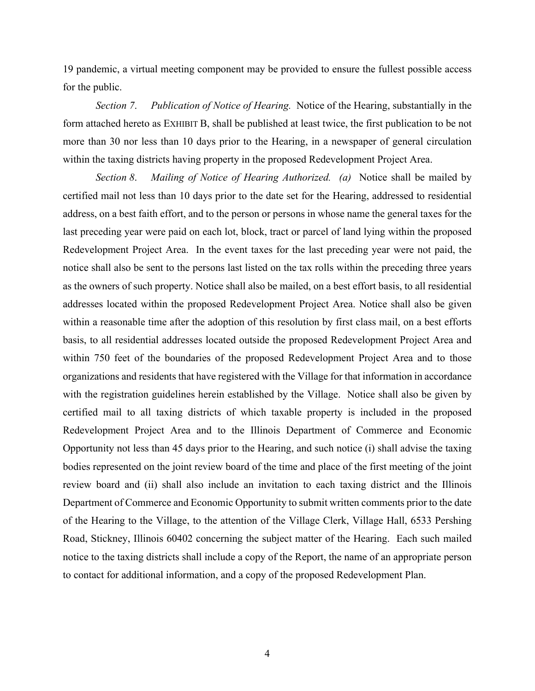19 pandemic, a virtual meeting component may be provided to ensure the fullest possible access for the public.

*Section 7*. *Publication of Notice of Hearing.* Notice of the Hearing, substantially in the form attached hereto as EXHIBIT B, shall be published at least twice, the first publication to be not more than 30 nor less than 10 days prior to the Hearing, in a newspaper of general circulation within the taxing districts having property in the proposed Redevelopment Project Area.

*Section 8*. *Mailing of Notice of Hearing Authorized. (a)* Notice shall be mailed by certified mail not less than 10 days prior to the date set for the Hearing, addressed to residential address, on a best faith effort, and to the person or persons in whose name the general taxes for the last preceding year were paid on each lot, block, tract or parcel of land lying within the proposed Redevelopment Project Area. In the event taxes for the last preceding year were not paid, the notice shall also be sent to the persons last listed on the tax rolls within the preceding three years as the owners of such property. Notice shall also be mailed, on a best effort basis, to all residential addresses located within the proposed Redevelopment Project Area. Notice shall also be given within a reasonable time after the adoption of this resolution by first class mail, on a best efforts basis, to all residential addresses located outside the proposed Redevelopment Project Area and within 750 feet of the boundaries of the proposed Redevelopment Project Area and to those organizations and residents that have registered with the Village for that information in accordance with the registration guidelines herein established by the Village. Notice shall also be given by certified mail to all taxing districts of which taxable property is included in the proposed Redevelopment Project Area and to the Illinois Department of Commerce and Economic Opportunity not less than 45 days prior to the Hearing, and such notice (i) shall advise the taxing bodies represented on the joint review board of the time and place of the first meeting of the joint review board and (ii) shall also include an invitation to each taxing district and the Illinois Department of Commerce and Economic Opportunity to submit written comments prior to the date of the Hearing to the Village, to the attention of the Village Clerk, Village Hall, 6533 Pershing Road, Stickney, Illinois 60402 concerning the subject matter of the Hearing. Each such mailed notice to the taxing districts shall include a copy of the Report, the name of an appropriate person to contact for additional information, and a copy of the proposed Redevelopment Plan.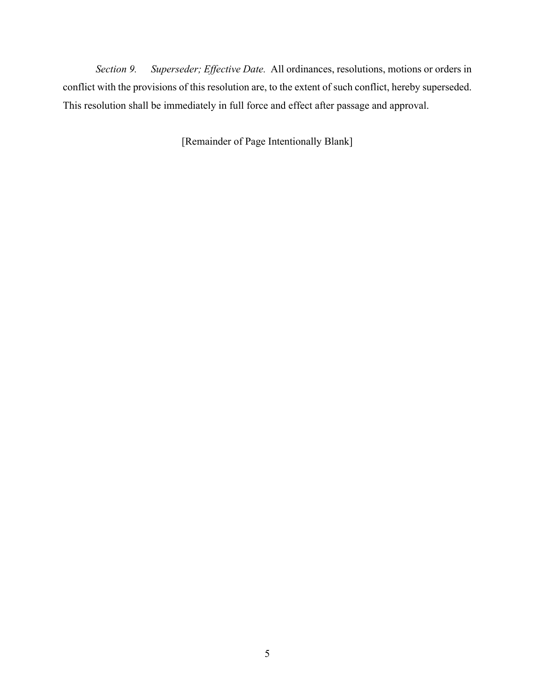*Section 9. Superseder; Effective Date.* All ordinances, resolutions, motions or orders in conflict with the provisions of this resolution are, to the extent of such conflict, hereby superseded. This resolution shall be immediately in full force and effect after passage and approval.

[Remainder of Page Intentionally Blank]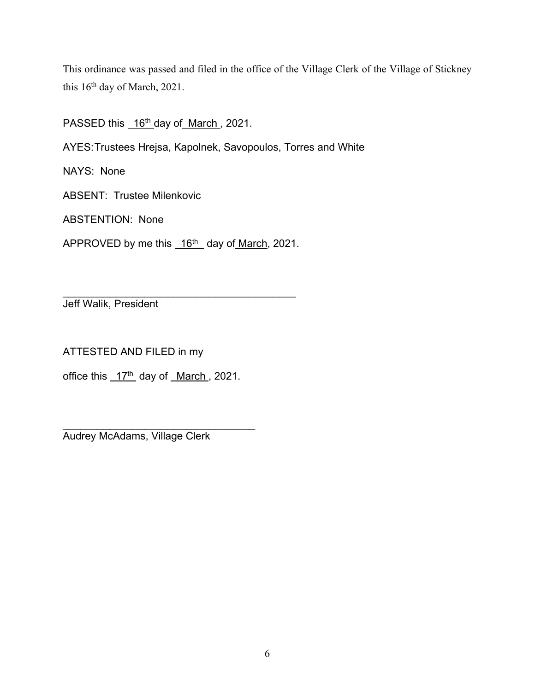This ordinance was passed and filed in the office of the Village Clerk of the Village of Stickney this 16<sup>th</sup> day of March, 2021.

PASSED this 16<sup>th</sup> day of March, 2021.

AYES:Trustees Hrejsa, Kapolnek, Savopoulos, Torres and White

NAYS: None

ABSENT: Trustee Milenkovic

ABSTENTION: None

APPROVED by me this 16<sup>th</sup> day of March, 2021.

\_\_\_\_\_\_\_\_\_\_\_\_\_\_\_\_\_\_\_\_\_\_\_\_\_\_\_\_\_\_\_\_\_\_\_\_\_\_\_\_ Jeff Walik, President

ATTESTED AND FILED in my

office this  $17<sup>th</sup>$  day of March, 2021.

\_\_\_\_\_\_\_\_\_\_\_\_\_\_\_\_\_\_\_\_\_\_\_\_\_\_\_\_\_\_\_\_\_ Audrey McAdams, Village Clerk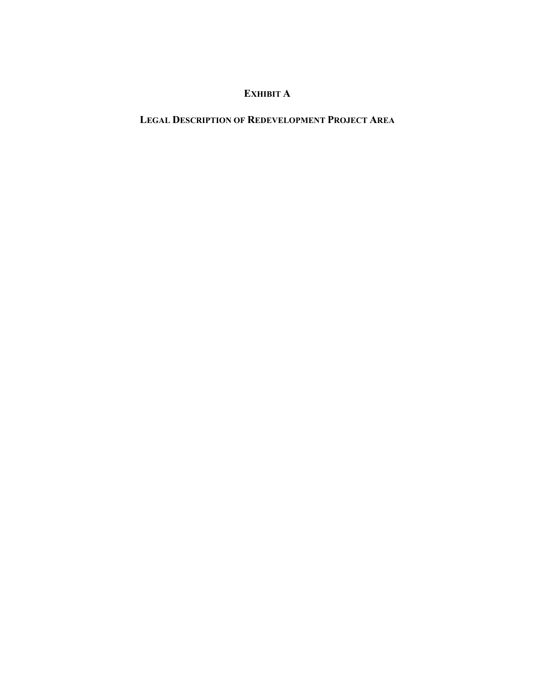# **EXHIBIT A**

## **LEGAL DESCRIPTION OF REDEVELOPMENT PROJECT AREA**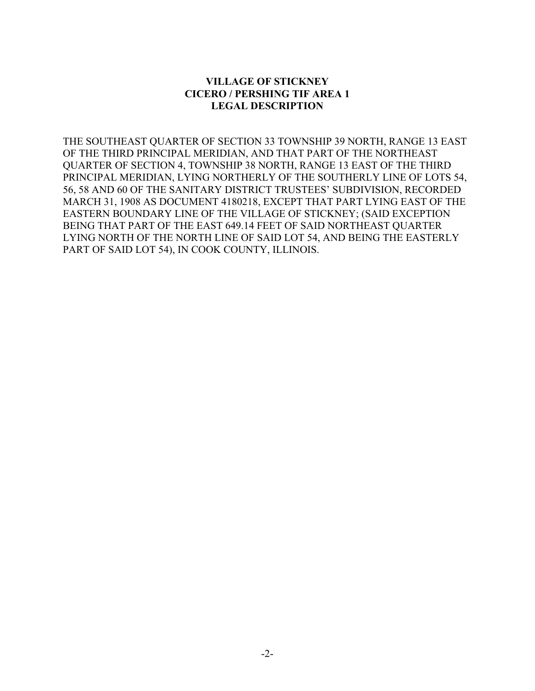### **VILLAGE OF STICKNEY CICERO / PERSHING TIF AREA 1 LEGAL DESCRIPTION**

THE SOUTHEAST QUARTER OF SECTION 33 TOWNSHIP 39 NORTH, RANGE 13 EAST OF THE THIRD PRINCIPAL MERIDIAN, AND THAT PART OF THE NORTHEAST QUARTER OF SECTION 4, TOWNSHIP 38 NORTH, RANGE 13 EAST OF THE THIRD PRINCIPAL MERIDIAN, LYING NORTHERLY OF THE SOUTHERLY LINE OF LOTS 54, 56, 58 AND 60 OF THE SANITARY DISTRICT TRUSTEES' SUBDIVISION, RECORDED MARCH 31, 1908 AS DOCUMENT 4180218, EXCEPT THAT PART LYING EAST OF THE EASTERN BOUNDARY LINE OF THE VILLAGE OF STICKNEY; (SAID EXCEPTION BEING THAT PART OF THE EAST 649.14 FEET OF SAID NORTHEAST QUARTER LYING NORTH OF THE NORTH LINE OF SAID LOT 54, AND BEING THE EASTERLY PART OF SAID LOT 54), IN COOK COUNTY, ILLINOIS.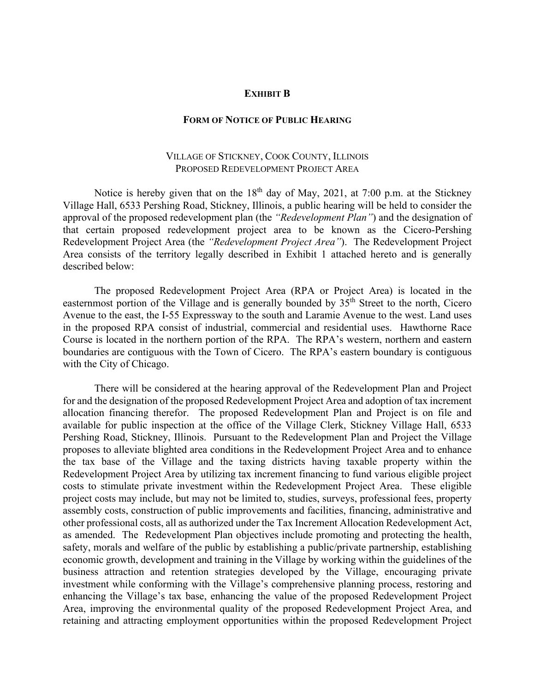#### **EXHIBIT B**

#### **FORM OF NOTICE OF PUBLIC HEARING**

#### VILLAGE OF STICKNEY, COOK COUNTY, ILLINOIS PROPOSED REDEVELOPMENT PROJECT AREA

Notice is hereby given that on the  $18<sup>th</sup>$  day of May, 2021, at 7:00 p.m. at the Stickney Village Hall, 6533 Pershing Road, Stickney, Illinois, a public hearing will be held to consider the approval of the proposed redevelopment plan (the *"Redevelopment Plan"*) and the designation of that certain proposed redevelopment project area to be known as the Cicero-Pershing Redevelopment Project Area (the *"Redevelopment Project Area"*). The Redevelopment Project Area consists of the territory legally described in Exhibit 1 attached hereto and is generally described below:

The proposed Redevelopment Project Area (RPA or Project Area) is located in the easternmost portion of the Village and is generally bounded by 35<sup>th</sup> Street to the north, Cicero Avenue to the east, the I-55 Expressway to the south and Laramie Avenue to the west. Land uses in the proposed RPA consist of industrial, commercial and residential uses. Hawthorne Race Course is located in the northern portion of the RPA. The RPA's western, northern and eastern boundaries are contiguous with the Town of Cicero. The RPA's eastern boundary is contiguous with the City of Chicago.

There will be considered at the hearing approval of the Redevelopment Plan and Project for and the designation of the proposed Redevelopment Project Area and adoption of tax increment allocation financing therefor. The proposed Redevelopment Plan and Project is on file and available for public inspection at the office of the Village Clerk, Stickney Village Hall, 6533 Pershing Road, Stickney, Illinois. Pursuant to the Redevelopment Plan and Project the Village proposes to alleviate blighted area conditions in the Redevelopment Project Area and to enhance the tax base of the Village and the taxing districts having taxable property within the Redevelopment Project Area by utilizing tax increment financing to fund various eligible project costs to stimulate private investment within the Redevelopment Project Area. These eligible project costs may include, but may not be limited to, studies, surveys, professional fees, property assembly costs, construction of public improvements and facilities, financing, administrative and other professional costs, all as authorized under the Tax Increment Allocation Redevelopment Act, as amended. The Redevelopment Plan objectives include promoting and protecting the health, safety, morals and welfare of the public by establishing a public/private partnership, establishing economic growth, development and training in the Village by working within the guidelines of the business attraction and retention strategies developed by the Village, encouraging private investment while conforming with the Village's comprehensive planning process, restoring and enhancing the Village's tax base, enhancing the value of the proposed Redevelopment Project Area, improving the environmental quality of the proposed Redevelopment Project Area, and retaining and attracting employment opportunities within the proposed Redevelopment Project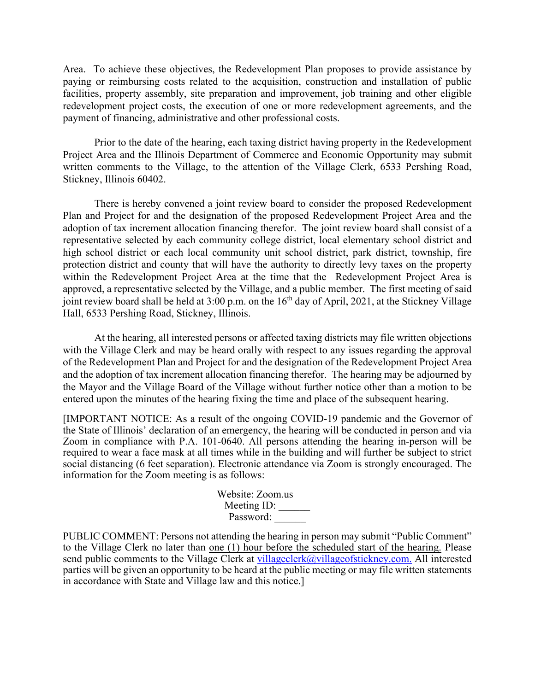Area. To achieve these objectives, the Redevelopment Plan proposes to provide assistance by paying or reimbursing costs related to the acquisition, construction and installation of public facilities, property assembly, site preparation and improvement, job training and other eligible redevelopment project costs, the execution of one or more redevelopment agreements, and the payment of financing, administrative and other professional costs.

Prior to the date of the hearing, each taxing district having property in the Redevelopment Project Area and the Illinois Department of Commerce and Economic Opportunity may submit written comments to the Village, to the attention of the Village Clerk, 6533 Pershing Road, Stickney, Illinois 60402.

There is hereby convened a joint review board to consider the proposed Redevelopment Plan and Project for and the designation of the proposed Redevelopment Project Area and the adoption of tax increment allocation financing therefor. The joint review board shall consist of a representative selected by each community college district, local elementary school district and high school district or each local community unit school district, park district, township, fire protection district and county that will have the authority to directly levy taxes on the property within the Redevelopment Project Area at the time that the Redevelopment Project Area is approved, a representative selected by the Village, and a public member. The first meeting of said joint review board shall be held at  $3:00$  p.m. on the  $16<sup>th</sup>$  day of April, 2021, at the Stickney Village Hall, 6533 Pershing Road, Stickney, Illinois.

At the hearing, all interested persons or affected taxing districts may file written objections with the Village Clerk and may be heard orally with respect to any issues regarding the approval of the Redevelopment Plan and Project for and the designation of the Redevelopment Project Area and the adoption of tax increment allocation financing therefor. The hearing may be adjourned by the Mayor and the Village Board of the Village without further notice other than a motion to be entered upon the minutes of the hearing fixing the time and place of the subsequent hearing.

[IMPORTANT NOTICE: As a result of the ongoing COVID-19 pandemic and the Governor of the State of Illinois' declaration of an emergency, the hearing will be conducted in person and via Zoom in compliance with P.A. 101-0640. All persons attending the hearing in-person will be required to wear a face mask at all times while in the building and will further be subject to strict social distancing (6 feet separation). Electronic attendance via Zoom is strongly encouraged. The information for the Zoom meeting is as follows:

> Website: Zoom.us Meeting ID: Password:

PUBLIC COMMENT: Persons not attending the hearing in person may submit "Public Comment" to the Village Clerk no later than one (1) hour before the scheduled start of the hearing. Please send public comments to the Village Clerk at [villageclerk@villageofstickney.com.](about:blank) All interested parties will be given an opportunity to be heard at the public meeting or may file written statements in accordance with State and Village law and this notice.]